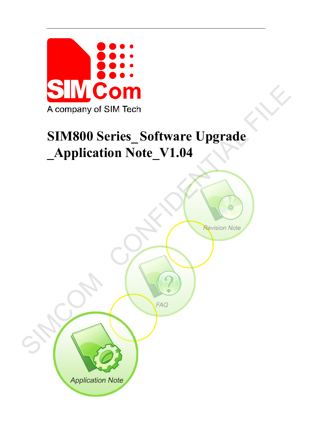

# **SIM800 Series\_Software Upgrade \_Application Note\_V1.04**

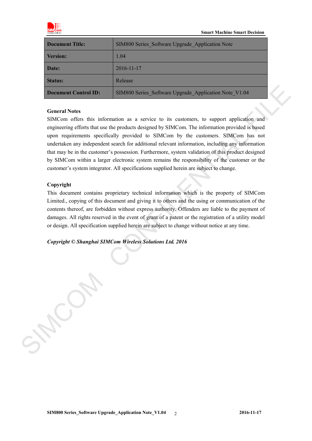

| <b>Document Title:</b> | SIM800 Series Software Upgrade Application Note       |
|------------------------|-------------------------------------------------------|
| Version:               | 1.04                                                  |
| <b>Date:</b>           | 2016-11-17                                            |
| <b>Status:</b>         | Release                                               |
| Document Control ID:   | SIM800 Series Software Upgrade Application Note V1.04 |

#### **General Notes**

SIMCom offers this information as a service to its customers, to support application and engineering efforts that use the products designed by SIMCom. The information provided is based upon requirements specifically provided to SIMCom by the customers. SIMCom has not undertaken any independent search for additional relevant information, including any information that may be in the customer's possession. Furthermore, system validation of this product designed by SIMCom within a larger electronic system remains the responsibility of the customer or the customer's system integrator. All specifications supplied herein are subject to change. **Decument Control ID:** STM500 Scries\_Software Upgrade\_Application Note\_V1 0.6<br>
General Notes<br>
SIMCom offers this information as a service to its customers, to support application and<br>
engineering efforts that are the prot

#### **Copyright**

This document contains proprietary technical information which is the property of SIMCom Limited., copying of this document and giving it to others and the using or communication of the contents thereof, are forbidden without express authority. Offenders are liable to the payment of damages. All rights reserved in the event of grant of a patent or the registration of a utility model or design. All specification supplied herein are subject to change without notice at any time.

*Copyright © Shanghai SIMCom Wireless Solutions Ltd. 2016*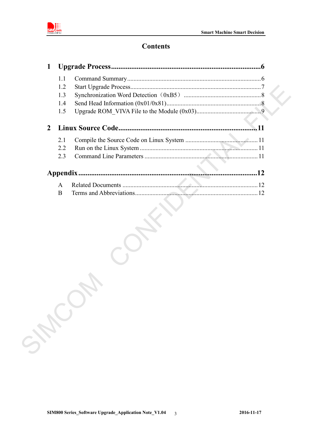



# **Contents**

| 1              |     |       |
|----------------|-----|-------|
|                | 1.1 |       |
|                | 1.2 |       |
|                | 1.3 |       |
|                | 1.4 |       |
|                | 1.5 |       |
| $\overline{2}$ |     |       |
|                | 2.1 |       |
|                | 2.2 |       |
|                | 2.3 |       |
|                |     |       |
|                | A   |       |
|                | B   |       |
|                |     |       |
|                |     |       |
|                |     | SHOCK |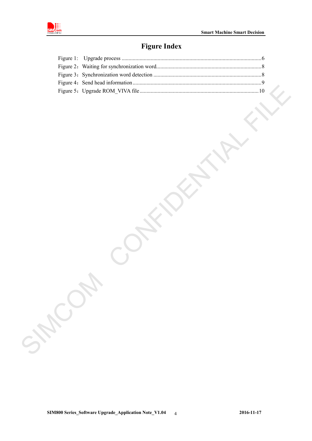

# **Figure Index**

| SHEOT |  |  |
|-------|--|--|
|       |  |  |
|       |  |  |
|       |  |  |
|       |  |  |
|       |  |  |
|       |  |  |
|       |  |  |
|       |  |  |
|       |  |  |
|       |  |  |
|       |  |  |
|       |  |  |
|       |  |  |
|       |  |  |
|       |  |  |
|       |  |  |
|       |  |  |
|       |  |  |
|       |  |  |
|       |  |  |
|       |  |  |
|       |  |  |
|       |  |  |
|       |  |  |
|       |  |  |
|       |  |  |
|       |  |  |
|       |  |  |
|       |  |  |
|       |  |  |
|       |  |  |
|       |  |  |
|       |  |  |
|       |  |  |
|       |  |  |
|       |  |  |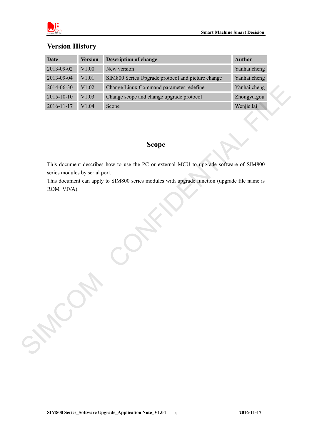|  | <b>Version History</b> |
|--|------------------------|
|  |                        |

|                                | <b>Version</b> | <b>Description of change</b>                                                                 | <b>Author</b> |
|--------------------------------|----------------|----------------------------------------------------------------------------------------------|---------------|
| 2013-09-02                     | V1.00          | New version                                                                                  | Yanhai.cheng  |
| 2013-09-04                     | $\rm V1.01$    | SIM800 Series Upgrade protocol and picture change                                            | Yanhai.cheng  |
| 2014-06-30                     | $\rm V1.02$    | Change Linux Command parameter redefine                                                      | Yanhai.cheng  |
| 2015-10-10                     | $\rm V1.03$    | Change scope and change upgrade protocol                                                     | Zhongyu.gou   |
| 2016-11-17                     | $\rm V1.04$    | Scope                                                                                        | Wenjie.lai    |
|                                |                | <b>Scope</b>                                                                                 |               |
| series modules by serial port. |                | This document describes how to use the PC or external MCU to upgrade software of SIM800      |               |
|                                |                | This document can apply to SIM800 series modules with upgrade function (upgrade file name is |               |
|                                |                |                                                                                              |               |
| ROM_VIVA).                     |                |                                                                                              |               |
| SHOW                           |                |                                                                                              |               |

# **Scope**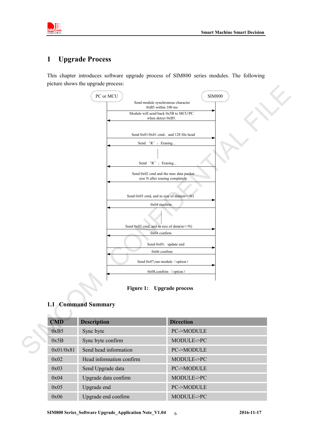

## <span id="page-5-0"></span>**1 Upgrade Process**

This chapter introduces software upgrade process of SIM800 series modules. The following picture shows the upgrade process:



**Figure 1: Upgrade process**

#### <span id="page-5-2"></span><span id="page-5-1"></span>**1.1 Command Summary**

| <b>CMD</b> | <b>Description</b>       | <b>Direction</b>     |
|------------|--------------------------|----------------------|
| 0xB5       | Sync byte                | <b>PC-&gt;MODULE</b> |
| 0x5B       | Sync byte confirm        | MODULE->PC           |
| 0x01/0x81  | Send head information    | <b>PC-&gt;MODULE</b> |
| 0x02       | Head information confirm | MODULE->PC           |
| 0x03       | Send Upgrade data        | <b>PC-&gt;MODULE</b> |
| 0x04       | Upgrade data confirm     | MODULE->PC           |
| 0x05       | Upgrade end              | <b>PC-&gt;MODULE</b> |
| 0x06       | Upgrade end confirm      | MODULE->PC           |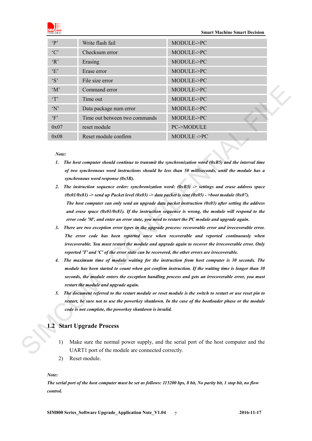

| $\mathbf{P}$         | Write flash fail                                                                                                                                                                                                                                                                                                                                                                                                                                                                                                                                                                                                                                                                                                                                                                                                                                                                                                                                                                                                                                                                                                                                                                                                                                                                                                                                                                                                                                                                                                                                                                                                                                                                                                                                                                                                                          | MODULE->PC                                                                          |
|----------------------|-------------------------------------------------------------------------------------------------------------------------------------------------------------------------------------------------------------------------------------------------------------------------------------------------------------------------------------------------------------------------------------------------------------------------------------------------------------------------------------------------------------------------------------------------------------------------------------------------------------------------------------------------------------------------------------------------------------------------------------------------------------------------------------------------------------------------------------------------------------------------------------------------------------------------------------------------------------------------------------------------------------------------------------------------------------------------------------------------------------------------------------------------------------------------------------------------------------------------------------------------------------------------------------------------------------------------------------------------------------------------------------------------------------------------------------------------------------------------------------------------------------------------------------------------------------------------------------------------------------------------------------------------------------------------------------------------------------------------------------------------------------------------------------------------------------------------------------------|-------------------------------------------------------------------------------------|
| °C                   | Checksum error                                                                                                                                                                                                                                                                                                                                                                                                                                                                                                                                                                                                                                                                                                                                                                                                                                                                                                                                                                                                                                                                                                                                                                                                                                                                                                                                                                                                                                                                                                                                                                                                                                                                                                                                                                                                                            | MODULE->PC                                                                          |
| R                    | Erasing                                                                                                                                                                                                                                                                                                                                                                                                                                                                                                                                                                                                                                                                                                                                                                                                                                                                                                                                                                                                                                                                                                                                                                                                                                                                                                                                                                                                                                                                                                                                                                                                                                                                                                                                                                                                                                   | MODULE->PC                                                                          |
| E                    | Erase error                                                                                                                                                                                                                                                                                                                                                                                                                                                                                                                                                                                                                                                                                                                                                                                                                                                                                                                                                                                                                                                                                                                                                                                                                                                                                                                                                                                                                                                                                                                                                                                                                                                                                                                                                                                                                               | MODULE->PC                                                                          |
| $\mathbf{S}'$        | File size error                                                                                                                                                                                                                                                                                                                                                                                                                                                                                                                                                                                                                                                                                                                                                                                                                                                                                                                                                                                                                                                                                                                                                                                                                                                                                                                                                                                                                                                                                                                                                                                                                                                                                                                                                                                                                           | MODULE->PC                                                                          |
| $^{\circ}M^{\circ}$  | Command error                                                                                                                                                                                                                                                                                                                                                                                                                                                                                                                                                                                                                                                                                                                                                                                                                                                                                                                                                                                                                                                                                                                                                                                                                                                                                                                                                                                                                                                                                                                                                                                                                                                                                                                                                                                                                             | MODULE->PC                                                                          |
| T                    | Time out                                                                                                                                                                                                                                                                                                                                                                                                                                                                                                                                                                                                                                                                                                                                                                                                                                                                                                                                                                                                                                                                                                                                                                                                                                                                                                                                                                                                                                                                                                                                                                                                                                                                                                                                                                                                                                  | MODULE->PC                                                                          |
| 'N'                  | Data package num error                                                                                                                                                                                                                                                                                                                                                                                                                                                                                                                                                                                                                                                                                                                                                                                                                                                                                                                                                                                                                                                                                                                                                                                                                                                                                                                                                                                                                                                                                                                                                                                                                                                                                                                                                                                                                    | MODULE->PC                                                                          |
| $\lq F$              | Time out between two commands                                                                                                                                                                                                                                                                                                                                                                                                                                                                                                                                                                                                                                                                                                                                                                                                                                                                                                                                                                                                                                                                                                                                                                                                                                                                                                                                                                                                                                                                                                                                                                                                                                                                                                                                                                                                             | MODULE->PC                                                                          |
| 0x07                 | reset module                                                                                                                                                                                                                                                                                                                                                                                                                                                                                                                                                                                                                                                                                                                                                                                                                                                                                                                                                                                                                                                                                                                                                                                                                                                                                                                                                                                                                                                                                                                                                                                                                                                                                                                                                                                                                              | PC->MODULE                                                                          |
| 0x08                 | Reset module confirm                                                                                                                                                                                                                                                                                                                                                                                                                                                                                                                                                                                                                                                                                                                                                                                                                                                                                                                                                                                                                                                                                                                                                                                                                                                                                                                                                                                                                                                                                                                                                                                                                                                                                                                                                                                                                      | MODULE->PC                                                                          |
| 2.<br>3.<br>4.<br>5. | 1. The host computer should continue to transmit the synchronization word $(0xB5)$ and the interval time<br>of two synchronous word instructions should be less than 50 milliseconds, until the module has a<br>synchronous word response (0x5B).<br>The instruction sequence order: synchronization word: $(0xB5)$ -> settings and erase address space<br>$(0x01/0x81)$ -> send up Packet level $(0x03)$ -> data packet is sent $(0x05)$ ->boot module $(0x07)$ .<br>The host computer can only send an upgrade data packet instruction $(0x03)$ after setting the address<br>and erase space $(0x01/0x81)$ . If the instruction sequence is wrong, the module will respond to the<br>error code 'M', and enter an error state, you need to restart the PC module and upgrade again.<br>There are two exception error types in the upgrade process: recoverable error and irrecoverable error.<br>The error code has been reported once when recoverable and reported continuously when<br>irrecoverable. You must restart the module and upgrade again to recover the irrecoverable error. Only<br>reported 'T' and 'C' of the error state can be recovered, the other errors are irrecoverable.<br>The maximum time of module waiting for the instruction from host computer is 30 seconds. The<br>module has been started to count when got confirm instruction. If the waiting time is longer than 30<br>seconds, the module enters the exception handling process and gets an irrecoverable error, you must<br>restart the module and upgrade again.<br>The document referred to the restart module or reset module is the switch to restart or use reset pin to<br>restart, be sure not to use the powerkey shutdown. In the case of the bootloader phase or the module<br>code is not complete, the powerkey shutdown is invalid. |                                                                                     |
|                      | 1.2 Start Upgrade Process                                                                                                                                                                                                                                                                                                                                                                                                                                                                                                                                                                                                                                                                                                                                                                                                                                                                                                                                                                                                                                                                                                                                                                                                                                                                                                                                                                                                                                                                                                                                                                                                                                                                                                                                                                                                                 |                                                                                     |
| 1)                   | UART1 port of the module are connected correctly.                                                                                                                                                                                                                                                                                                                                                                                                                                                                                                                                                                                                                                                                                                                                                                                                                                                                                                                                                                                                                                                                                                                                                                                                                                                                                                                                                                                                                                                                                                                                                                                                                                                                                                                                                                                         | Make sure the normal power supply, and the serial port of the host computer and the |

- *1. The host computer should continue to transmit the synchronization word (0xB5) and the interval time of two synchronous word instructions should be less than 50 milliseconds, until the module has a synchronous word response (0x5B).*
- *2. The instruction sequence order: synchronization word: (0xB5) -> settings and erase address space*   $(0x01/0x81)$  -> send up Packet level  $(0x03)$  -> data packet is sent  $(0x05)$  ->boot module  $(0x07)$ . *The host computer can only send an upgrade data packet instruction (0x03) after setting the address and erase space (0x01/0x81). If the instruction sequence is wrong, the module will respond to the error code 'M', and enter an error state, you need to restart the PC module and upgrade again.*
- *3. There are two exception error types in the upgrade process: recoverable error and irrecoverable error. The error code has been reported once when recoverable and reported continuously when irrecoverable. You must restart the module and upgrade again to recover the irrecoverable error. Only reported 'T' and 'C' of the error state can be recovered, the other errors are irrecoverable.*
- *4. The maximum time of module waiting for the instruction from host computer is 30 seconds. The module has been started to count when got confirm instruction. If the waiting time is longer than 30 seconds, the module enters the exception handling process and gets an irrecoverable error, you must restart the module and upgrade again.*
- *5. The document referred to the restart module or reset module is the switch to restart or use reset pin to restart, be sure not to use the powerkey shutdown. In the case of the bootloader phase or the module code is not complete, the powerkey shutdown is invalid.*

#### <span id="page-6-0"></span>**1.2 Start Upgrade Process**

- 1) Make sure the normal power supply, and the serial port of the host computer and the UART1 port of the module are connected correctly.
- 2) Reset module.

#### *Note:*

*The serial port of the host computer must be set as follows: 115200 bps, 8 bit, No parity bit, 1 stop bit, no flow control.*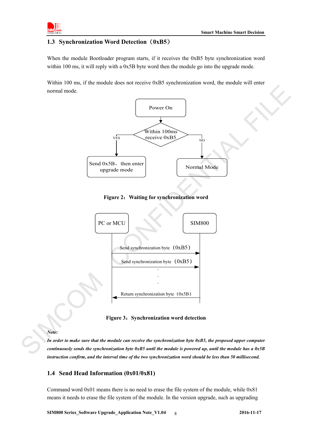

#### <span id="page-7-0"></span>**1.3 Synchronization Word Detection**(**0xB5**)

When the module Bootloader program starts, if it receives the 0xB5 byte synchronization word within 100 ms, it will reply with a 0x5B byte word then the module go into the upgrade mode.

Within 100 ms, if the module does not receive 0xB5 synchronization word, the module will enter normal mode.



<span id="page-7-2"></span>



**Figure 3**:**Synchronization word detection**

#### <span id="page-7-3"></span>*Note:*

*In order to make sure that the module can receive the synchronization byte 0xB5, the proposed upper computer continuously sends the synchronization byte 0xB5 until the module is powered up, until the module has a 0x5B instruction confirm, and the interval time of the two synchronization word should be less than 50 millisecond.* 

#### <span id="page-7-1"></span>**1.4 Send Head Information (0x01/0x81)**

Command word 0x01 means there is no need to erase the file system of the module, while 0x81 means it needs to erase the file system of the module. In the version upgrade, such as upgrading

**SIM800 Series\_Software Upgrade\_Application Note\_V1.04 2016-11-17** 8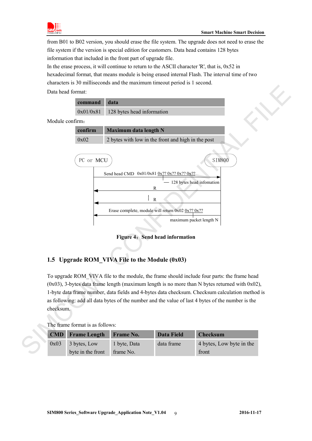

from B01 to B02 version, you should erase the file system. The upgrade does not need to erase the file system if the version is special edition for customers. Data head contains 128 bytes information that included in the front part of upgrade file.

In the erase process, it will continue to return to the ASCII character 'R', that is, 0x52 in

hexadecimal format, that means module is being erased internal Flash. The interval time of two characters is 30 milliseconds and the maximum timeout period is 1 second.

Data head format:





### <span id="page-8-1"></span><span id="page-8-0"></span>**1.5 Upgrade ROM\_VIVA File to the Module (0x03)**

To upgrade ROM\_VIVA file to the module, the frame should include four parts: the frame head  $(0x03)$ , 3-bytes data frame length (maximum length is no more than N bytes returned with 0x02), 1-byte data frame number, data fields and 4-bytes data checksum. Checksum calculation method is as following: add all data bytes of the number and the value of last 4 bytes of the number is the checksum. To upgrade ROM\_VIVA file<br>  $(0x03)$ , 3-bytes data frame lei<br>
1-byte data frame number, da<br>
as following: add all data byt<br>
checksum.<br>
The frame format is as follow<br>
CMD Frame Length<br>  $0x03$  3 bytes, Low<br>
byte in the front

|      | <u>The Hume Iommu is us follows.</u> |              |                   |                          |
|------|--------------------------------------|--------------|-------------------|--------------------------|
|      | <b>CMD</b> Frame Length Frame No.    |              | <b>Data Field</b> | <b>Checksum</b>          |
| 0x03 | 3 bytes, Low                         | 1 byte, Data | data frame        | 4 bytes, Low byte in the |
|      | byte in the front                    | frame No.    |                   | front                    |

The frame format is as follows: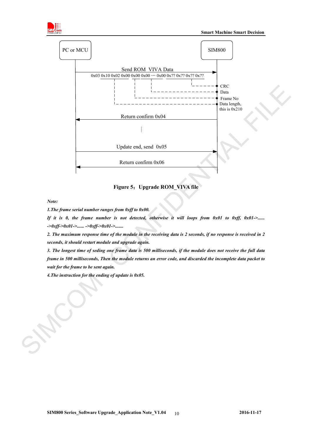



**Figure 5**:**Upgrade ROM\_VIVA file**

<span id="page-9-0"></span>*Note:*

*1.The frame serial number ranges from 0xff to 0x00.*

*If it is 0, the frame number is not detected, otherwise it will loops from 0x01 to 0xff, 0x01->...... ->0xff->0x01->...... ->0xff->0x01->.......*

*2. The maximum response time of the module in the receiving data is 2 seconds, if no response is received in 2 seconds, it should restart module and upgrade again.* 

*3. The longest time of seding one frame data is 500 milliseconds, if the module does not receive the full data frame in 500 milliseconds, Then the module returns an error code, and discarded the incomplete data packet to wait for the frame to be sent again.* 

*4.The instruction for the ending of update is 0x05.*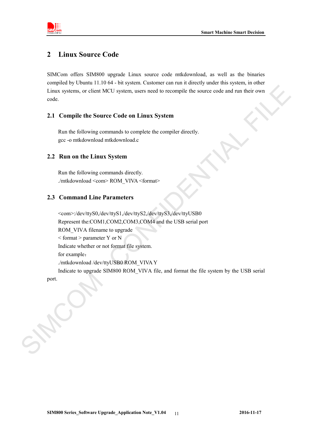



## <span id="page-10-0"></span>**2 Linux Source Code**

SIMCom offers SIM800 upgrade Linux source code mtkdownload, as well as the binaries compiled by Ubuntu 11.10 64 - bit system. Customer can run it directly under this system, in other Linux systems, or client MCU system, users need to recompile the source code and run their own code.

#### <span id="page-10-1"></span>**2.1 Compile the Source Code on Linux System**

Run the following commands to complete the compiler directly. gcc -o mtkdownload mtkdownload.c

#### <span id="page-10-2"></span>**2.2 Run on the Linux System**

Run the following commands directly. ./mtkdownload <com> ROM\_VIVA <format>

#### <span id="page-10-3"></span>**2.3 Command Line Parameters**

<com>:/dev/ttyS0,/dev/ttyS1,/dev/ttyS2,/dev/ttyS3,/dev/ttyUSB0 Represent the:COM1,COM2,COM3,COM4 and the USB serial port ROM VIVA filename to upgrade  $\leq$  format  $>$  parameter Y or N Indicate whether or not format file system. for example: ./mtkdownload /dev/ttyUSB0 ROM\_VIVA Y Indicate to upgrade SIM800 ROM\_VIVA file, and format the file system by the USB serial Linux systems, or client MCU system, users need to recomptle the source code and nn their own<br>code.<br>
2.1 Compile the Source Code on Linux System<br>
Run the following communication compulation decomptation<br>
gec - o mitidisoni

port.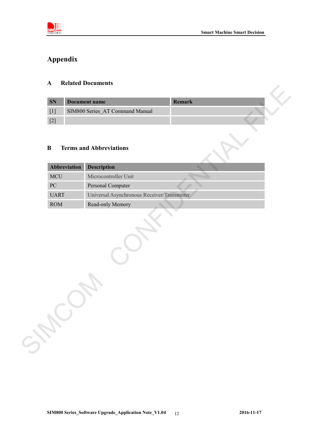

# <span id="page-11-0"></span>**Appendix**

#### <span id="page-11-1"></span>**A Related Documents**

| <b>SN</b> | Document name                   | <b>Remark</b> |  |
|-----------|---------------------------------|---------------|--|
|           | SIM800 Series AT Command Manual |               |  |
|           |                                 |               |  |

#### <span id="page-11-2"></span>**B Terms and Abbreviations**

| SN               |              | <b>Document name</b>                        | Remark |
|------------------|--------------|---------------------------------------------|--------|
| $[1]$            |              | SIM800 Series_AT Command Manual             |        |
| $[2]$            |              |                                             |        |
| $\bf{B}$         |              | <b>Terms and Abbreviations</b>              |        |
|                  | Abbreviation | <b>Description</b>                          |        |
| <b>MCU</b>       |              | Microcontroller Unit                        |        |
| ${\rm P}{\bf C}$ |              | Personal Computer                           |        |
| <b>UART</b>      |              |                                             |        |
|                  |              | Universal Asynchronous Receiver/Transmitter |        |
| ROM              |              | Read-only Memory                            |        |
|                  |              |                                             |        |